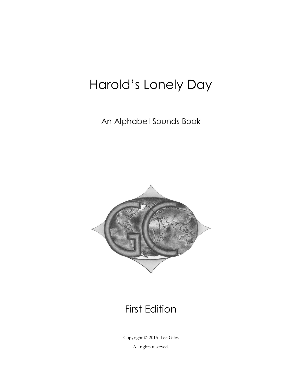## Harold's Lonely Day

An Alphabet Sounds Book



## First Edition

Copyright © 2015 Lee Giles All rights reserved.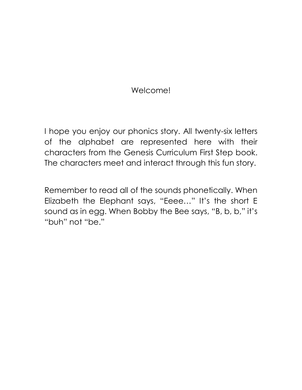## Welcome!

I hope you enjoy our phonics story. All twenty-six letters of the alphabet are represented here with their characters from the Genesis Curriculum First Step book. The characters meet and interact through this fun story.

Remember to read all of the sounds phonetically. When Elizabeth the Elephant says, "Eeee…" It's the short E sound as in egg. When Bobby the Bee says, "B, b, b," it's "buh" not "be."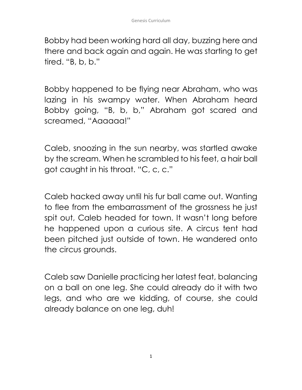Bobby had been working hard all day, buzzing here and there and back again and again. He was starting to get tired. "B, b, b."

Bobby happened to be flying near Abraham, who was lazing in his swampy water. When Abraham heard Bobby going, "B, b, b," Abraham got scared and screamed, "Aaaaaa!"

Caleb, snoozing in the sun nearby, was startled awake by the scream. When he scrambled to his feet, a hair ball got caught in his throat. "C, c, c."

Caleb hacked away until his fur ball came out. Wanting to flee from the embarrassment of the grossness he just spit out, Caleb headed for town. It wasn't long before he happened upon a curious site. A circus tent had been pitched just outside of town. He wandered onto the circus grounds.

Caleb saw Danielle practicing her latest feat, balancing on a ball on one leg. She could already do it with two legs, and who are we kidding, of course, she could already balance on one leg, duh!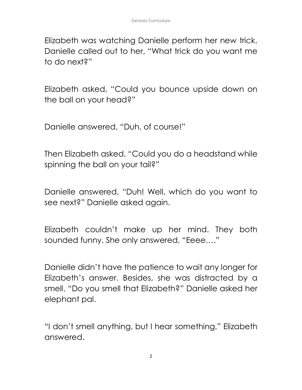Elizabeth was watching Danielle perform her new trick. Danielle called out to her, "What trick do you want me to do next?"

Elizabeth asked, "Could you bounce upside down on the ball on your head?"

Danielle answered, "Duh, of course!"

Then Elizabeth asked, "Could you do a headstand while spinning the ball on your tail?"

Danielle answered, "Duh! Well, which do you want to see next?" Danielle asked again.

Elizabeth couldn't make up her mind. They both sounded funny. She only answered, "Eeee…."

Danielle didn't have the patience to wait any longer for Elizabeth's answer. Besides, she was distracted by a smell. "Do you smell that Elizabeth?" Danielle asked her elephant pal.

"I don't smell anything, but I hear something," Elizabeth answered.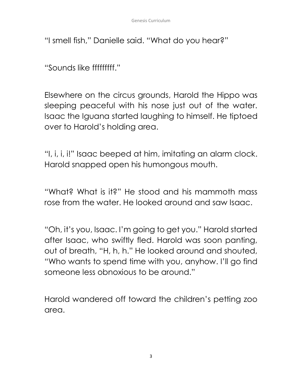"I smell fish," Danielle said. "What do you hear?"

"Sounds like fffffffff."

Elsewhere on the circus grounds, Harold the Hippo was sleeping peaceful with his nose just out of the water. Isaac the Iguana started laughing to himself. He tiptoed over to Harold's holding area.

"I, i, i, i!" Isaac beeped at him, imitating an alarm clock. Harold snapped open his humongous mouth.

"What? What is it?" He stood and his mammoth mass rose from the water. He looked around and saw Isaac.

"Oh, it's you, Isaac. I'm going to get you." Harold started after Isaac, who swiftly fled. Harold was soon panting, out of breath, "H, h, h." He looked around and shouted, "Who wants to spend time with you, anyhow. I'll go find someone less obnoxious to be around."

Harold wandered off toward the children's petting zoo area.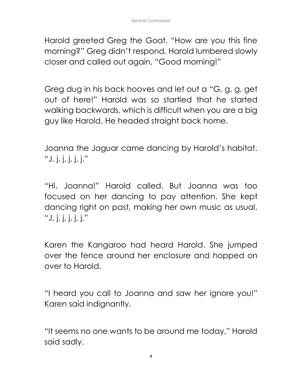Harold greeted Greg the Goat. "How are you this fine morning?" Greg didn't respond. Harold lumbered slowly closer and called out again, "Good morning!"

Greg dug in his back hooves and let out a "G, g, g, get out of here!" Harold was so startled that he started walking backwards, which is difficult when you are a big guy like Harold. He headed straight back home.

Joanna the Jaguar came dancing by Harold's habitat. "J, j, j, j, j, j."

"Hi, Joanna!" Harold called. But Joanna was too focused on her dancing to pay attention. She kept dancing right on past, making her own music as usual, "J, j, j, j, j, j,"

Karen the Kangaroo had heard Harold. She jumped over the fence around her enclosure and hopped on over to Harold.

"I heard you call to Joanna and saw her ignore you!" Karen said indignantly.

"It seems no one wants to be around me today," Harold said sadly.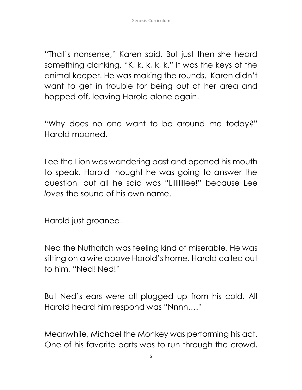"That's nonsense," Karen said. But just then she heard something clanking, "K, k, k, k, k." It was the keys of the animal keeper. He was making the rounds. Karen didn't want to get in trouble for being out of her area and hopped off, leaving Harold alone again.

"Why does no one want to be around me today?" Harold moaned.

Lee the Lion was wandering past and opened his mouth to speak. Harold thought he was going to answer the question, but all he said was "Lllllllllee!" because Lee *loves* the sound of his own name.

Harold just groaned.

Ned the Nuthatch was feeling kind of miserable. He was sitting on a wire above Harold's home. Harold called out to him, "Ned! Ned!"

But Ned's ears were all plugged up from his cold. All Harold heard him respond was "Nnnn…."

Meanwhile, Michael the Monkey was performing his act. One of his favorite parts was to run through the crowd,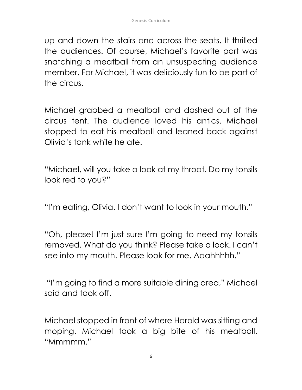up and down the stairs and across the seats. It thrilled the audiences. Of course, Michael's favorite part was snatching a meatball from an unsuspecting audience member. For Michael, it was deliciously fun to be part of the circus.

Michael grabbed a meatball and dashed out of the circus tent. The audience loved his antics. Michael stopped to eat his meatball and leaned back against Olivia's tank while he ate.

"Michael, will you take a look at my throat. Do my tonsils look red to you?"

"I'm eating, Olivia. I don't want to look in your mouth."

"Oh, please! I'm just sure I'm going to need my tonsils removed. What do you think? Please take a look. I can't see into my mouth. Please look for me. Aaahhhhh."

"I'm going to find a more suitable dining area," Michael said and took off.

Michael stopped in front of where Harold was sitting and moping. Michael took a big bite of his meatball. "Mmmmm."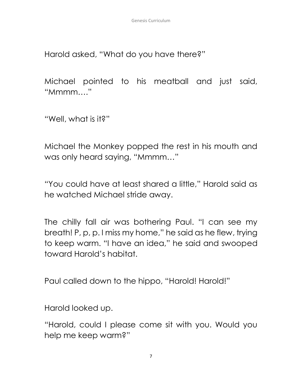Harold asked, "What do you have there?"

Michael pointed to his meatball and just said, "Mmmm…."

"Well, what is it?"

Michael the Monkey popped the rest in his mouth and was only heard saying, "Mmmm…"

"You could have at least shared a little," Harold said as he watched Michael stride away.

The chilly fall air was bothering Paul. "I can see my breath! P, p, p. I miss my home," he said as he flew, trying to keep warm. "I have an idea," he said and swooped toward Harold's habitat.

Paul called down to the hippo, "Harold! Harold!"

Harold looked up.

"Harold, could I please come sit with you. Would you help me keep warm?"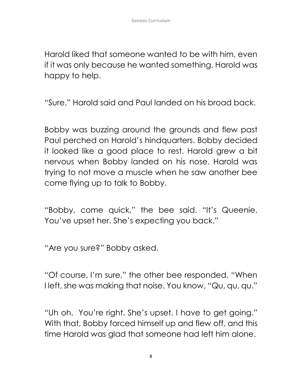Harold liked that someone wanted to be with him, even if it was only because he wanted something. Harold was happy to help.

"Sure," Harold said and Paul landed on his broad back.

Bobby was buzzing around the grounds and flew past Paul perched on Harold's hindquarters. Bobby decided it looked like a good place to rest. Harold grew a bit nervous when Bobby landed on his nose. Harold was trying to not move a muscle when he saw another bee come flying up to talk to Bobby.

"Bobby, come quick," the bee said. "It's Queenie. You've upset her. She's expecting you back."

"Are you sure?" Bobby asked.

"Of course, I'm sure," the other bee responded. "When I left, she was making that noise. You know, "Qu, qu, qu."

"Uh oh. You're right. She's upset. I have to get going." With that, Bobby forced himself up and flew off, and this time Harold was glad that someone had left him alone.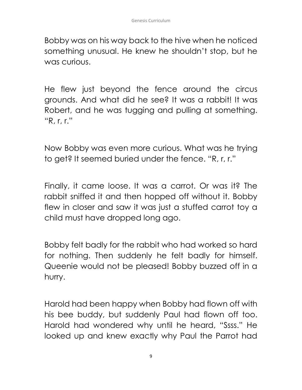Bobby was on his way back to the hive when he noticed something unusual. He knew he shouldn't stop, but he was curious.

He flew just beyond the fence around the circus grounds. And what did he see? It was a rabbit! It was Robert, and he was tugging and pulling at something. "R, r, r."

Now Bobby was even more curious. What was he trying to get? It seemed buried under the fence. "R, r, r."

Finally, it came loose. It was a carrot. Or was it? The rabbit sniffed it and then hopped off without it. Bobby flew in closer and saw it was just a stuffed carrot toy a child must have dropped long ago.

Bobby felt badly for the rabbit who had worked so hard for nothing. Then suddenly he felt badly for himself. Queenie would not be pleased! Bobby buzzed off in a hurry.

Harold had been happy when Bobby had flown off with his bee buddy, but suddenly Paul had flown off too. Harold had wondered why until he heard, "Ssss." He looked up and knew exactly why Paul the Parrot had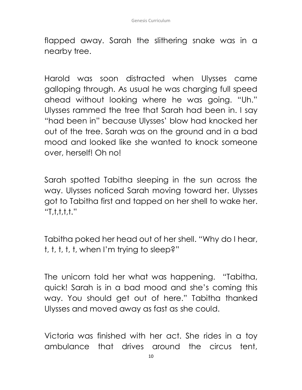flapped away. Sarah the slithering snake was in a nearby tree.

Harold was soon distracted when Ulysses came galloping through. As usual he was charging full speed ahead without looking where he was going. "Uh." Ulysses rammed the tree that Sarah had been in. I say "had been in" because Ulysses' blow had knocked her out of the tree. Sarah was on the ground and in a bad mood and looked like she wanted to knock someone over, herself! Oh no!

Sarah spotted Tabitha sleeping in the sun across the way. Ulysses noticed Sarah moving toward her. Ulysses got to Tabitha first and tapped on her shell to wake her. "T,t,t,t,t."

Tabitha poked her head out of her shell. "Why do I hear, t, t, t, t, t, when I'm trying to sleep?"

The unicorn told her what was happening. "Tabitha, quick! Sarah is in a bad mood and she's coming this way. You should get out of here." Tabitha thanked Ulysses and moved away as fast as she could.

Victoria was finished with her act. She rides in a toy ambulance that drives around the circus tent,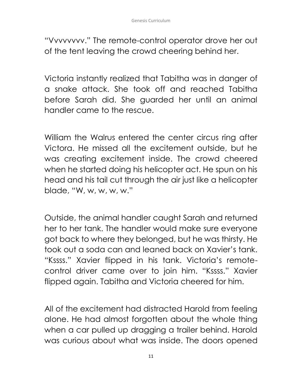"Vvvvvvvv." The remote-control operator drove her out of the tent leaving the crowd cheering behind her.

Victoria instantly realized that Tabitha was in danger of a snake attack. She took off and reached Tabitha before Sarah did. She guarded her until an animal handler came to the rescue.

William the Walrus entered the center circus ring after Victora. He missed all the excitement outside, but he was creating excitement inside. The crowd cheered when he started doing his helicopter act. He spun on his head and his tail cut through the air just like a helicopter blade, "W, w, w, w, w."

Outside, the animal handler caught Sarah and returned her to her tank. The handler would make sure everyone got back to where they belonged, but he was thirsty. He took out a soda can and leaned back on Xavier's tank. "Kssss." Xavier flipped in his tank. Victoria's remotecontrol driver came over to join him. "Kssss." Xavier flipped again. Tabitha and Victoria cheered for him.

All of the excitement had distracted Harold from feeling alone. He had almost forgotten about the whole thing when a car pulled up dragging a trailer behind. Harold was curious about what was inside. The doors opened